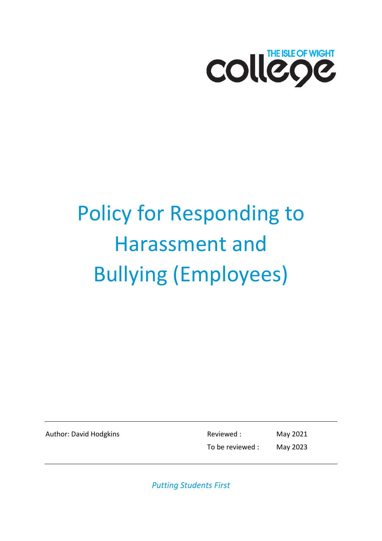

# Policy for Responding to Harassment and Bullying (Employees)

Author: David Hodgkins **Reviewed** : May 2021 To be reviewed : May 2023

*Putting Students First*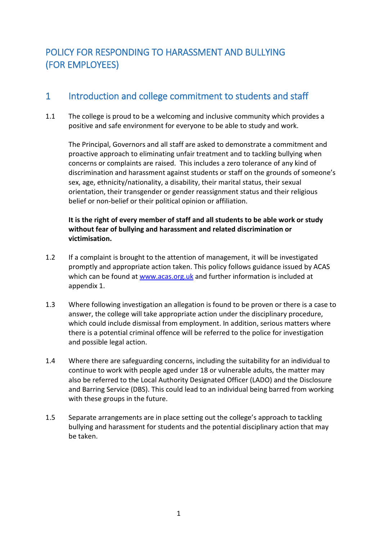# POLICY FOR RESPONDING TO HARASSMENT AND BULLYING (FOR EMPLOYEES)

## 1 Introduction and college commitment to students and staff

1.1 The college is proud to be a welcoming and inclusive community which provides a positive and safe environment for everyone to be able to study and work.

The Principal, Governors and all staff are asked to demonstrate a commitment and proactive approach to eliminating unfair treatment and to tackling bullying when concerns or complaints are raised. This includes a zero tolerance of any kind of discrimination and harassment against students or staff on the grounds of someone's sex, age, ethnicity/nationality, a disability, their marital status, their sexual orientation, their transgender or gender reassignment status and their religious belief or non-belief or their political opinion or affiliation.

**It is the right of every member of staff and all students to be able work or study without fear of bullying and harassment and related discrimination or victimisation.** 

- 1.2 If a complaint is brought to the attention of management, it will be investigated promptly and appropriate action taken. This policy follows guidance issued by ACAS which can be found at [www.acas.org.uk](http://www.acas.org.uk/) and further information is included at appendix 1.
- 1.3 Where following investigation an allegation is found to be proven or there is a case to answer, the college will take appropriate action under the disciplinary procedure, which could include dismissal from employment. In addition, serious matters where there is a potential criminal offence will be referred to the police for investigation and possible legal action.
- 1.4 Where there are safeguarding concerns, including the suitability for an individual to continue to work with people aged under 18 or vulnerable adults, the matter may also be referred to the Local Authority Designated Officer (LADO) and the Disclosure and Barring Service (DBS). This could lead to an individual being barred from working with these groups in the future.
- 1.5 Separate arrangements are in place setting out the college's approach to tackling bullying and harassment for students and the potential disciplinary action that may be taken.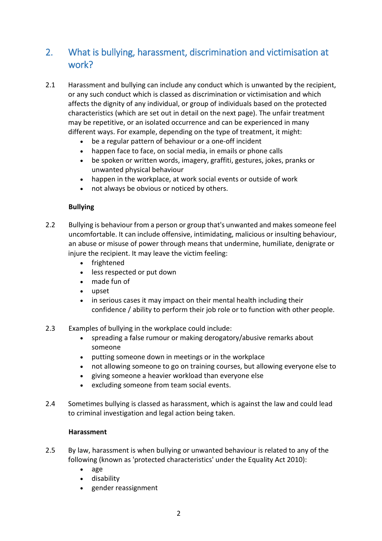## 2. What is bullying, harassment, discrimination and victimisation at work?

- 2.1 Harassment and bullying can include any conduct which is unwanted by the recipient, or any such conduct which is classed as discrimination or victimisation and which affects the dignity of any individual, or group of individuals based on the protected characteristics (which are set out in detail on the next page). The unfair treatment may be repetitive, or an isolated occurrence and can be experienced in many different ways. For example, depending on the type of treatment, it might:
	- be a regular pattern of behaviour or a one-off incident
	- happen face to face, on social media, in emails or phone calls
	- be spoken or written words, imagery, graffiti, gestures, jokes, pranks or unwanted physical behaviour
	- happen in the workplace, at work social events or outside of work
	- not always be obvious or noticed by others.

#### **Bullying**

- 2.2 Bullying is behaviour from a person or group that's unwanted and makes someone feel uncomfortable. It can include offensive, intimidating, malicious or insulting behaviour, an abuse or misuse of power through means that undermine, humiliate, denigrate or injure the recipient. It may leave the victim feeling:
	- frightened
	- less respected or put down
	- made fun of
	- upset
	- in serious cases it may impact on their mental health including their confidence / ability to perform their job role or to function with other people.
- 2.3 Examples of bullying in the workplace could include:
	- spreading a false rumour or making derogatory/abusive remarks about someone
	- putting someone down in meetings or in the workplace
	- not allowing someone to go on training courses, but allowing everyone else to
	- giving someone a heavier workload than everyone else
	- excluding someone from team social events.
- 2.4 Sometimes bullying is classed as harassment, which is against the law and could lead to criminal investigation and legal action being taken.

#### **Harassment**

- 2.5 By law, harassment is when bullying or unwanted behaviour is related to any of the following (known as 'protected characteristics' under the Equality Act 2010):
	- age
	- disability
	- gender reassignment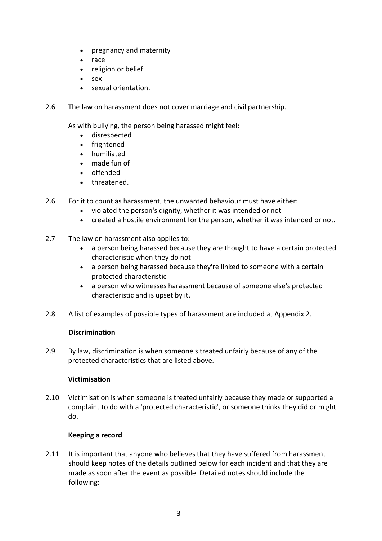- pregnancy and maternity
- race
- religion or belief
- sex
- sexual orientation.
- 2.6 The law on harassment does not cover marriage and civil partnership.

As with bullying, the person being harassed might feel:

- disrespected
- frightened
- humiliated
- made fun of
- offended
- threatened.
- 2.6 For it to count as harassment, the unwanted behaviour must have either:
	- violated the person's dignity, whether it was intended or not
	- created a hostile environment for the person, whether it was intended or not.
- 2.7 The law on harassment also applies to:
	- a person being harassed because they are thought to have a certain protected characteristic when they do not
	- a person being harassed because they're linked to someone with a certain protected characteristic
	- a person who witnesses harassment because of someone else's protected characteristic and is upset by it.
- 2.8 A list of examples of possible types of harassment are included at Appendix 2.

#### **Discrimination**

2.9 By law, discrimination is when someone's treated unfairly because of any of the protected characteristics that are listed above.

## **Victimisation**

2.10 Victimisation is when someone is treated unfairly because they made or supported a complaint to do with a 'protected characteristic', or someone thinks they did or might do.

## **Keeping a record**

2.11 It is important that anyone who believes that they have suffered from harassment should keep notes of the details outlined below for each incident and that they are made as soon after the event as possible. Detailed notes should include the following: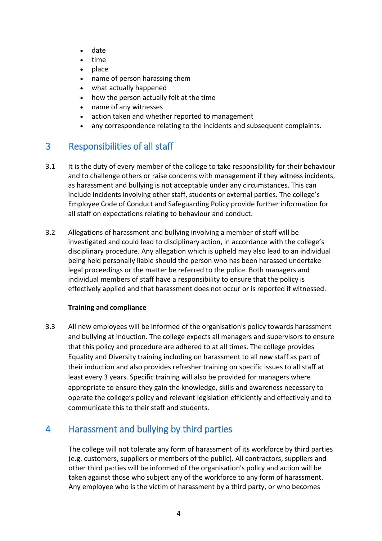- date
- time
- place
- name of person harassing them
- what actually happened
- how the person actually felt at the time
- name of any witnesses
- action taken and whether reported to management
- any correspondence relating to the incidents and subsequent complaints.

## 3 Responsibilities of all staff

- 3.1 It is the duty of every member of the college to take responsibility for their behaviour and to challenge others or raise concerns with management if they witness incidents, as harassment and bullying is not acceptable under any circumstances. This can include incidents involving other staff, students or external parties. The college's Employee Code of Conduct and Safeguarding Policy provide further information for all staff on expectations relating to behaviour and conduct.
- 3.2 Allegations of harassment and bullying involving a member of staff will be investigated and could lead to disciplinary action, in accordance with the college's disciplinary procedure. Any allegation which is upheld may also lead to an individual being held personally liable should the person who has been harassed undertake legal proceedings or the matter be referred to the police. Both managers and individual members of staff have a responsibility to ensure that the policy is effectively applied and that harassment does not occur or is reported if witnessed.

#### **Training and compliance**

3.3 All new employees will be informed of the organisation's policy towards harassment and bullying at induction. The college expects all managers and supervisors to ensure that this policy and procedure are adhered to at all times. The college provides Equality and Diversity training including on harassment to all new staff as part of their induction and also provides refresher training on specific issues to all staff at least every 3 years. Specific training will also be provided for managers where appropriate to ensure they gain the knowledge, skills and awareness necessary to operate the college's policy and relevant legislation efficiently and effectively and to communicate this to their staff and students.

## 4 Harassment and bullying by third parties

The college will not tolerate any form of harassment of its workforce by third parties (e.g. customers, suppliers or members of the public). All contractors, suppliers and other third parties will be informed of the organisation's policy and action will be taken against those who subject any of the workforce to any form of harassment. Any employee who is the victim of harassment by a third party, or who becomes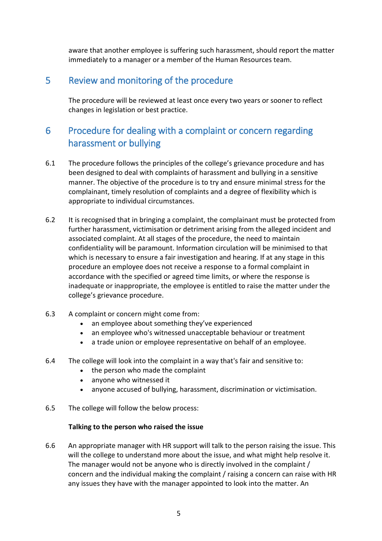aware that another employee is suffering such harassment, should report the matter immediately to a manager or a member of the Human Resources team.

## 5 Review and monitoring of the procedure

The procedure will be reviewed at least once every two years or sooner to reflect changes in legislation or best practice.

## 6 Procedure for dealing with a complaint or concern regarding harassment or bullying

- 6.1 The procedure follows the principles of the college's grievance procedure and has been designed to deal with complaints of harassment and bullying in a sensitive manner. The objective of the procedure is to try and ensure minimal stress for the complainant, timely resolution of complaints and a degree of flexibility which is appropriate to individual circumstances.
- 6.2 It is recognised that in bringing a complaint, the complainant must be protected from further harassment, victimisation or detriment arising from the alleged incident and associated complaint. At all stages of the procedure, the need to maintain confidentiality will be paramount. Information circulation will be minimised to that which is necessary to ensure a fair investigation and hearing. If at any stage in this procedure an employee does not receive a response to a formal complaint in accordance with the specified or agreed time limits, or where the response is inadequate or inappropriate, the employee is entitled to raise the matter under the college's grievance procedure.
- 6.3 A complaint or concern might come from:
	- an employee about something they've experienced
	- an employee who's witnessed unacceptable behaviour or treatment
	- a trade union or employee representative on behalf of an employee.
- 6.4 The college will look into the complaint in a way that's fair and sensitive to:
	- the person who made the complaint
	- anyone who witnessed it
	- anyone accused of bullying, harassment, discrimination or victimisation.
- 6.5 The college will follow the below process:

#### **Talking to the person who raised the issue**

6.6 An appropriate manager with HR support will talk to the person raising the issue. This will the college to understand more about the issue, and what might help resolve it. The manager would not be anyone who is directly involved in the complaint / concern and the individual making the complaint / raising a concern can raise with HR any issues they have with the manager appointed to look into the matter. An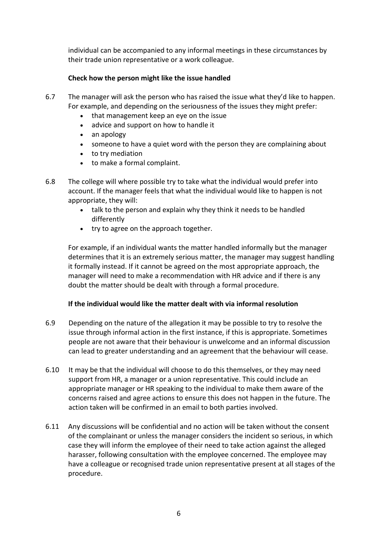individual can be accompanied to any informal meetings in these circumstances by their trade union representative or a work colleague.

### **Check how the person might like the issue handled**

- 6.7 The manager will ask the person who has raised the issue what they'd like to happen. For example, and depending on the seriousness of the issues they might prefer:
	- that management keep an eye on the issue
	- advice and support on how to handle it
	- an apology
	- someone to have a quiet word with the person they are complaining about
	- to try mediation
	- to make a formal complaint.
- 6.8 The college will where possible try to take what the individual would prefer into account. If the manager feels that what the individual would like to happen is not appropriate, they will:
	- talk to the person and explain why they think it needs to be handled differently
	- try to agree on the approach together.

For example, if an individual wants the matter handled informally but the manager determines that it is an extremely serious matter, the manager may suggest handling it formally instead. If it cannot be agreed on the most appropriate approach, the manager will need to make a recommendation with HR advice and if there is any doubt the matter should be dealt with through a formal procedure.

#### **If the individual would like the matter dealt with via informal resolution**

- 6.9 Depending on the nature of the allegation it may be possible to try to resolve the issue through informal action in the first instance, if this is appropriate. Sometimes people are not aware that their behaviour is unwelcome and an informal discussion can lead to greater understanding and an agreement that the behaviour will cease.
- 6.10 It may be that the individual will choose to do this themselves, or they may need support from HR, a manager or a union representative. This could include an appropriate manager or HR speaking to the individual to make them aware of the concerns raised and agree actions to ensure this does not happen in the future. The action taken will be confirmed in an email to both parties involved.
- 6.11 Any discussions will be confidential and no action will be taken without the consent of the complainant or unless the manager considers the incident so serious, in which case they will inform the employee of their need to take action against the alleged harasser, following consultation with the employee concerned. The employee may have a colleague or recognised trade union representative present at all stages of the procedure.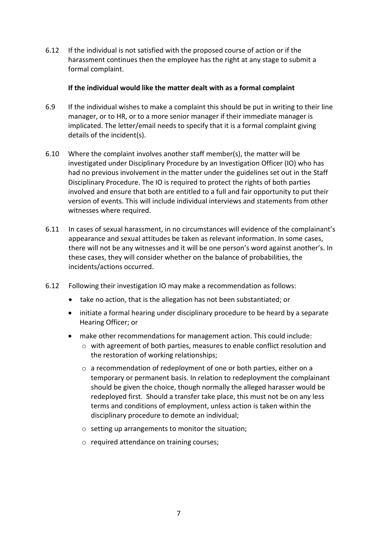6.12 If the individual is not satisfied with the proposed course of action or if the harassment continues then the employee has the right at any stage to submit a formal complaint.

#### **If the individual would like the matter dealt with as a formal complaint**

- 6.9 If the individual wishes to make a complaint this should be put in writing to their line manager, or to HR, or to a more senior manager if their immediate manager is implicated. The letter/email needs to specify that it is a formal complaint giving details of the incident(s).
- 6.10 Where the complaint involves another staff member(s), the matter will be investigated under Disciplinary Procedure by an Investigation Officer (IO) who has had no previous involvement in the matter under the guidelines set out in the Staff Disciplinary Procedure. The IO is required to protect the rights of both parties involved and ensure that both are entitled to a full and fair opportunity to put their version of events. This will include individual interviews and statements from other witnesses where required.
- 6.11 In cases of sexual harassment, in no circumstances will evidence of the complainant's appearance and sexual attitudes be taken as relevant information. In some cases, there will not be any witnesses and it will be one person's word against another's. In these cases, they will consider whether on the balance of probabilities, the incidents/actions occurred.
- 6.12 Following their investigation IO may make a recommendation as follows:
	- take no action, that is the allegation has not been substantiated; or
	- initiate a formal hearing under disciplinary procedure to be heard by a separate Hearing Officer; or
	- make other recommendations for management action. This could include:
		- o with agreement of both parties, measures to enable conflict resolution and the restoration of working relationships;
		- o a recommendation of redeployment of one or both parties, either on a temporary or permanent basis. In relation to redeployment the complainant should be given the choice, though normally the alleged harasser would be redeployed first. Should a transfer take place, this must not be on any less terms and conditions of employment, unless action is taken within the disciplinary procedure to demote an individual;
		- o setting up arrangements to monitor the situation;
		- o required attendance on training courses;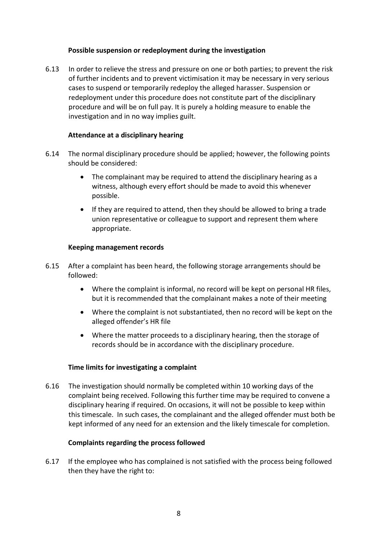#### **Possible suspension or redeployment during the investigation**

6.13 In order to relieve the stress and pressure on one or both parties; to prevent the risk of further incidents and to prevent victimisation it may be necessary in very serious cases to suspend or temporarily redeploy the alleged harasser. Suspension or redeployment under this procedure does not constitute part of the disciplinary procedure and will be on full pay. It is purely a holding measure to enable the investigation and in no way implies guilt.

#### **Attendance at a disciplinary hearing**

- 6.14 The normal disciplinary procedure should be applied; however, the following points should be considered:
	- The complainant may be required to attend the disciplinary hearing as a witness, although every effort should be made to avoid this whenever possible.
	- If they are required to attend, then they should be allowed to bring a trade union representative or colleague to support and represent them where appropriate.

#### **Keeping management records**

- 6.15 After a complaint has been heard, the following storage arrangements should be followed:
	- Where the complaint is informal, no record will be kept on personal HR files, but it is recommended that the complainant makes a note of their meeting
	- Where the complaint is not substantiated, then no record will be kept on the alleged offender's HR file
	- Where the matter proceeds to a disciplinary hearing, then the storage of records should be in accordance with the disciplinary procedure.

#### **Time limits for investigating a complaint**

6.16 The investigation should normally be completed within 10 working days of the complaint being received. Following this further time may be required to convene a disciplinary hearing if required. On occasions, it will not be possible to keep within this timescale. In such cases, the complainant and the alleged offender must both be kept informed of any need for an extension and the likely timescale for completion.

#### **Complaints regarding the process followed**

6.17 If the employee who has complained is not satisfied with the process being followed then they have the right to: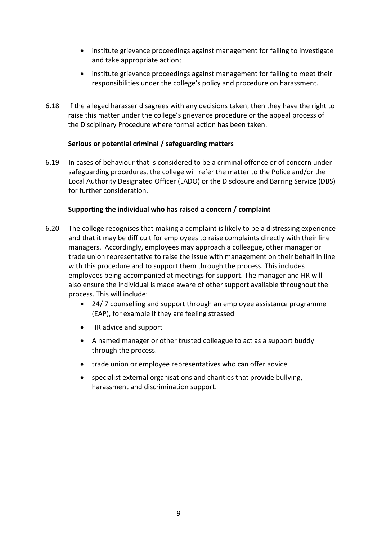- institute grievance proceedings against management for failing to investigate and take appropriate action;
- institute grievance proceedings against management for failing to meet their responsibilities under the college's policy and procedure on harassment.
- 6.18 If the alleged harasser disagrees with any decisions taken, then they have the right to raise this matter under the college's grievance procedure or the appeal process of the Disciplinary Procedure where formal action has been taken.

#### **Serious or potential criminal / safeguarding matters**

6.19 In cases of behaviour that is considered to be a criminal offence or of concern under safeguarding procedures, the college will refer the matter to the Police and/or the Local Authority Designated Officer (LADO) or the Disclosure and Barring Service (DBS) for further consideration.

#### **Supporting the individual who has raised a concern / complaint**

- 6.20 The college recognises that making a complaint is likely to be a distressing experience and that it may be difficult for employees to raise complaints directly with their line managers. Accordingly, employees may approach a colleague, other manager or trade union representative to raise the issue with management on their behalf in line with this procedure and to support them through the process. This includes employees being accompanied at meetings for support. The manager and HR will also ensure the individual is made aware of other support available throughout the process. This will include:
	- 24/ 7 counselling and support through an employee assistance programme (EAP), for example if they are feeling stressed
	- HR advice and support
	- A named manager or other trusted colleague to act as a support buddy through the process.
	- trade union or employee representatives who can offer advice
	- specialist external organisations and charities that provide bullying, harassment and discrimination support.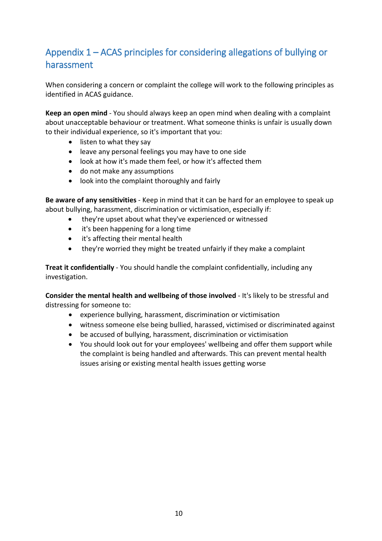# Appendix 1 – ACAS principles for considering allegations of bullying or harassment

When considering a concern or complaint the college will work to the following principles as identified in ACAS guidance.

**Keep an open mind** - You should always keep an open mind when dealing with a complaint about unacceptable behaviour or treatment. What someone thinks is unfair is usually down to their individual experience, so it's important that you:

- listen to what they say
- leave any personal feelings you may have to one side
- look at how it's made them feel, or how it's affected them
- do not make any assumptions
- look into the complaint thoroughly and fairly

**Be aware of any sensitivities** - Keep in mind that it can be hard for an employee to speak up about bullying, harassment, discrimination or victimisation, especially if:

- they're upset about what they've experienced or witnessed
- it's been happening for a long time
- it's affecting their mental health
- they're worried they might be treated unfairly if they make a complaint

**Treat it confidentially** - You should handle the complaint confidentially, including any investigation.

**Consider the mental health and wellbeing of those involved** - It's likely to be stressful and distressing for someone to:

- experience bullying, harassment, discrimination or victimisation
- witness someone else being bullied, harassed, victimised or discriminated against
- be accused of bullying, harassment, discrimination or victimisation
- You should look out for your employees' wellbeing and offer them support while the complaint is being handled and afterwards. This can prevent mental health issues arising or existing mental health issues getting worse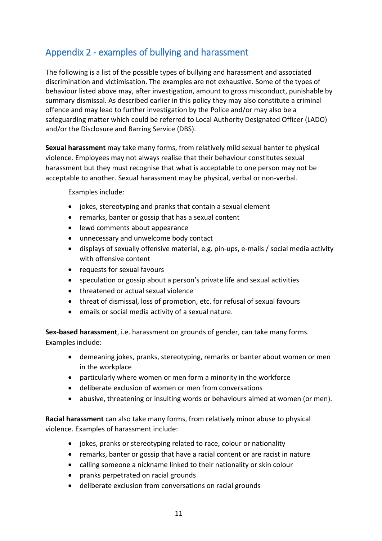## Appendix 2 - examples of bullying and harassment

The following is a list of the possible types of bullying and harassment and associated discrimination and victimisation. The examples are not exhaustive. Some of the types of behaviour listed above may, after investigation, amount to gross misconduct, punishable by summary dismissal. As described earlier in this policy they may also constitute a criminal offence and may lead to further investigation by the Police and/or may also be a safeguarding matter which could be referred to Local Authority Designated Officer (LADO) and/or the Disclosure and Barring Service (DBS).

**Sexual harassment** may take many forms, from relatively mild sexual banter to physical violence. Employees may not always realise that their behaviour constitutes sexual harassment but they must recognise that what is acceptable to one person may not be acceptable to another. Sexual harassment may be physical, verbal or non-verbal.

Examples include:

- jokes, stereotyping and pranks that contain a sexual element
- remarks, banter or gossip that has a sexual content
- lewd comments about appearance
- unnecessary and unwelcome body contact
- displays of sexually offensive material, e.g. pin-ups, e-mails / social media activity with offensive content
- requests for sexual favours
- speculation or gossip about a person's private life and sexual activities
- threatened or actual sexual violence
- threat of dismissal, loss of promotion, etc. for refusal of sexual favours
- emails or social media activity of a sexual nature.

**Sex-based harassment**, i.e. harassment on grounds of gender, can take many forms. Examples include:

- demeaning jokes, pranks, stereotyping, remarks or banter about women or men in the workplace
- particularly where women or men form a minority in the workforce
- deliberate exclusion of women or men from conversations
- abusive, threatening or insulting words or behaviours aimed at women (or men).

**Racial harassment** can also take many forms, from relatively minor abuse to physical violence. Examples of harassment include:

- jokes, pranks or stereotyping related to race, colour or nationality
- remarks, banter or gossip that have a racial content or are racist in nature
- calling someone a nickname linked to their nationality or skin colour
- pranks perpetrated on racial grounds
- deliberate exclusion from conversations on racial grounds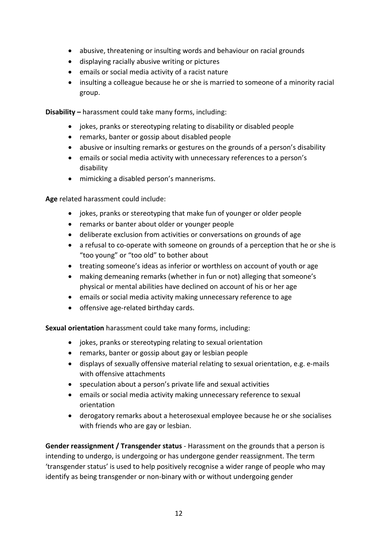- abusive, threatening or insulting words and behaviour on racial grounds
- displaying racially abusive writing or pictures
- emails or social media activity of a racist nature
- insulting a colleague because he or she is married to someone of a minority racial group.

**Disability –** harassment could take many forms, including:

- jokes, pranks or stereotyping relating to disability or disabled people
- remarks, banter or gossip about disabled people
- abusive or insulting remarks or gestures on the grounds of a person's disability
- emails or social media activity with unnecessary references to a person's disability
- mimicking a disabled person's mannerisms.

**Age** related harassment could include:

- jokes, pranks or stereotyping that make fun of younger or older people
- remarks or banter about older or younger people
- deliberate exclusion from activities or conversations on grounds of age
- a refusal to co-operate with someone on grounds of a perception that he or she is "too young" or "too old" to bother about
- treating someone's ideas as inferior or worthless on account of youth or age
- making demeaning remarks (whether in fun or not) alleging that someone's physical or mental abilities have declined on account of his or her age
- emails or social media activity making unnecessary reference to age
- offensive age-related birthday cards.

**Sexual orientation** harassment could take many forms, including:

- jokes, pranks or stereotyping relating to sexual orientation
- remarks, banter or gossip about gay or lesbian people
- displays of sexually offensive material relating to sexual orientation, e.g. e-mails with offensive attachments
- speculation about a person's private life and sexual activities
- emails or social media activity making unnecessary reference to sexual orientation
- derogatory remarks about a heterosexual employee because he or she socialises with friends who are gay or lesbian.

**Gender reassignment / Transgender status** - Harassment on the grounds that a person is intending to undergo, is undergoing or has undergone gender reassignment. The term 'transgender status' is used to help positively recognise a wider range of people who may identify as being transgender or non-binary with or without undergoing gender